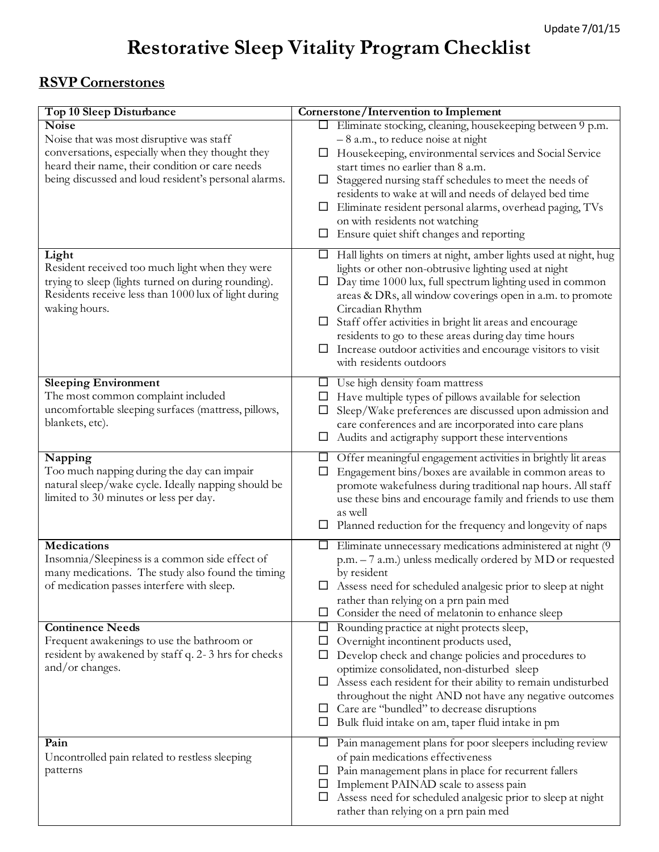## **Restorative Sleep Vitality Program Checklist**

## **RSVP Cornerstones**

| Top 10 Sleep Disturbance                                                                                                                                       | Cornerstone/Intervention to Implement                                                                                                                                              |
|----------------------------------------------------------------------------------------------------------------------------------------------------------------|------------------------------------------------------------------------------------------------------------------------------------------------------------------------------------|
| <b>Noise</b><br>Noise that was most disruptive was staff                                                                                                       | □ Eliminate stocking, cleaning, housekeeping between 9 p.m.<br>$-8$ a.m., to reduce noise at night                                                                                 |
| conversations, especially when they thought they                                                                                                               | Housekeeping, environmental services and Social Service<br>ப                                                                                                                       |
| heard their name, their condition or care needs<br>being discussed and loud resident's personal alarms.                                                        | start times no earlier than 8 a.m.<br>Staggered nursing staff schedules to meet the needs of<br>ப                                                                                  |
|                                                                                                                                                                | residents to wake at will and needs of delayed bed time                                                                                                                            |
|                                                                                                                                                                | Eliminate resident personal alarms, overhead paging, TVs                                                                                                                           |
|                                                                                                                                                                | on with residents not watching<br>Ensure quiet shift changes and reporting<br>$\Box$                                                                                               |
| Light                                                                                                                                                          | Hall lights on timers at night, amber lights used at night, hug<br>$\Box$                                                                                                          |
| Resident received too much light when they were<br>trying to sleep (lights turned on during rounding).<br>Residents receive less than 1000 lux of light during | lights or other non-obtrusive lighting used at night<br>Day time 1000 lux, full spectrum lighting used in common<br>⊔<br>areas & DRs, all window coverings open in a.m. to promote |
| waking hours.                                                                                                                                                  | Circadian Rhythm<br>Staff offer activities in bright lit areas and encourage<br>ப                                                                                                  |
|                                                                                                                                                                | residents to go to these areas during day time hours                                                                                                                               |
|                                                                                                                                                                | Increase outdoor activities and encourage visitors to visit<br>with residents outdoors                                                                                             |
| <b>Sleeping Environment</b>                                                                                                                                    | Use high density foam mattress<br>ப                                                                                                                                                |
| The most common complaint included<br>uncomfortable sleeping surfaces (mattress, pillows,                                                                      | Have multiple types of pillows available for selection<br>Ц<br>Sleep/Wake preferences are discussed upon admission and<br>$\Box$                                                   |
| blankets, etc).                                                                                                                                                | care conferences and are incorporated into care plans                                                                                                                              |
|                                                                                                                                                                | Audits and actigraphy support these interventions<br>Ц                                                                                                                             |
| Napping<br>Too much napping during the day can impair                                                                                                          | Offer meaningful engagement activities in brightly lit areas<br>ப<br>Engagement bins/boxes are available in common areas to<br>□                                                   |
| natural sleep/wake cycle. Ideally napping should be<br>limited to 30 minutes or less per day.                                                                  | promote wakefulness during traditional nap hours. All staff<br>use these bins and encourage family and friends to use them                                                         |
|                                                                                                                                                                | as well<br>$\Box$ Planned reduction for the frequency and longevity of naps                                                                                                        |
| <b>Medications</b><br>Insomnia/Sleepiness is a common side effect of                                                                                           | Eliminate unnecessary medications administered at night (9)<br>□<br>p.m. - 7 a.m.) unless medically ordered by MD or requested                                                     |
| many medications. The study also found the timing                                                                                                              | by resident                                                                                                                                                                        |
| of medication passes interfere with sleep.                                                                                                                     | Assess need for scheduled analgesic prior to sleep at night<br>$\Box$                                                                                                              |
|                                                                                                                                                                | rather than relying on a prn pain med<br>Consider the need of melatonin to enhance sleep<br>⊔                                                                                      |
| <b>Continence Needs</b>                                                                                                                                        | Rounding practice at night protects sleep,<br>$\Box$                                                                                                                               |
| Frequent awakenings to use the bathroom or<br>resident by awakened by staff q. 2-3 hrs for checks                                                              | Overnight incontinent products used,<br>ப<br>Develop check and change policies and procedures to<br>□                                                                              |
| and/or changes.                                                                                                                                                | optimize consolidated, non-disturbed sleep                                                                                                                                         |
|                                                                                                                                                                | Assess each resident for their ability to remain undisturbed<br>ப                                                                                                                  |
|                                                                                                                                                                | throughout the night AND not have any negative outcomes<br>Care are "bundled" to decrease disruptions<br>ப                                                                         |
|                                                                                                                                                                | Bulk fluid intake on am, taper fluid intake in pm<br>⊔                                                                                                                             |
| Pain                                                                                                                                                           | Pain management plans for poor sleepers including review<br>ப                                                                                                                      |
| Uncontrolled pain related to restless sleeping<br>patterns                                                                                                     | of pain medications effectiveness<br>Pain management plans in place for recurrent fallers<br>ப                                                                                     |
|                                                                                                                                                                | Implement PAINAD scale to assess pain<br>⊔<br>Assess need for scheduled analgesic prior to sleep at night<br>ப<br>rather than relying on a prn pain med                            |